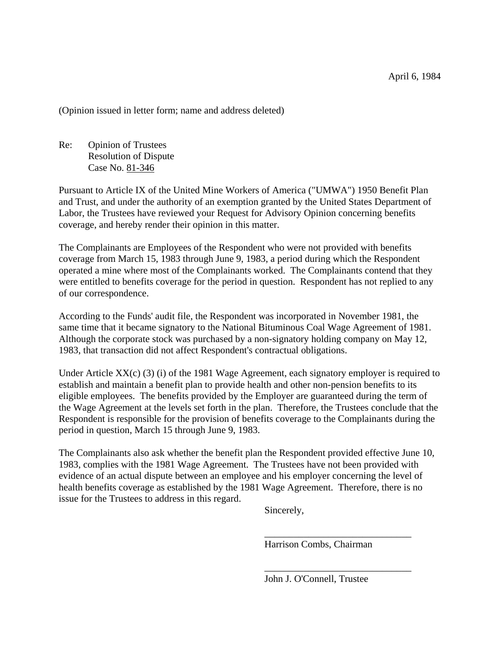(Opinion issued in letter form; name and address deleted)

Re: Opinion of Trustees Resolution of Dispute Case No. 81-346

Pursuant to Article IX of the United Mine Workers of America ("UMWA") 1950 Benefit Plan and Trust, and under the authority of an exemption granted by the United States Department of Labor, the Trustees have reviewed your Request for Advisory Opinion concerning benefits coverage, and hereby render their opinion in this matter.

The Complainants are Employees of the Respondent who were not provided with benefits coverage from March 15, 1983 through June 9, 1983, a period during which the Respondent operated a mine where most of the Complainants worked. The Complainants contend that they were entitled to benefits coverage for the period in question. Respondent has not replied to any of our correspondence.

According to the Funds' audit file, the Respondent was incorporated in November 1981, the same time that it became signatory to the National Bituminous Coal Wage Agreement of 1981. Although the corporate stock was purchased by a non-signatory holding company on May 12, 1983, that transaction did not affect Respondent's contractual obligations.

Under Article XX(c) (3) (i) of the 1981 Wage Agreement, each signatory employer is required to establish and maintain a benefit plan to provide health and other non-pension benefits to its eligible employees. The benefits provided by the Employer are guaranteed during the term of the Wage Agreement at the levels set forth in the plan. Therefore, the Trustees conclude that the Respondent is responsible for the provision of benefits coverage to the Complainants during the period in question, March 15 through June 9, 1983.

The Complainants also ask whether the benefit plan the Respondent provided effective June 10, 1983, complies with the 1981 Wage Agreement. The Trustees have not been provided with evidence of an actual dispute between an employee and his employer concerning the level of health benefits coverage as established by the 1981 Wage Agreement. Therefore, there is no issue for the Trustees to address in this regard.

Sincerely,

Harrison Combs, Chairman

\_\_\_\_\_\_\_\_\_\_\_\_\_\_\_\_\_\_\_\_\_\_\_\_\_\_\_\_\_\_

\_\_\_\_\_\_\_\_\_\_\_\_\_\_\_\_\_\_\_\_\_\_\_\_\_\_\_\_\_\_

John J. O'Connell, Trustee